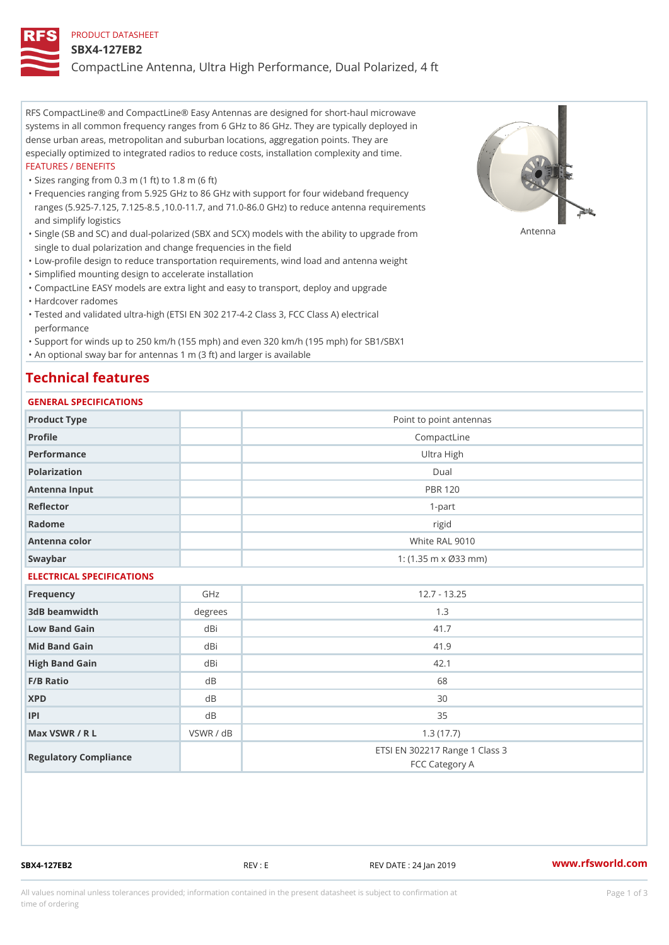#### PRODUCT DATASHEET

#### SBX4-127EB2

CompactLine Antenna, Ultra High Performance, Dual Polarized, 4 ft

RFS CompactLine® and CompactLine® Easy Antennas are designed for short-haul microwave systems in all common frequency ranges from 6 GHz to 86 GHz. They are typically deployed in dense urban areas, metropolitan and suburban locations, aggregation points. They are especially optimized to integrated radios to reduce costs, installation complexity and time. FEATURES / BENEFITS

"Sizes ranging from 0.3 m (1 ft) to 1.8 m (6 ft)

Frequencies ranging from 5.925 GHz to 86 GHz with support for four wideband frequency " ranges (5.925-7.125, 7.125-8.5 ,10.0-11.7, and 71.0-86.0 GHz) to reduce antenna requirements and simplify logistics

"Single (SB and SC) and dual-polarized (SBX and SCX) models with the abili $\mathsf{f}_\mathsf{V}^{\eta}$ ttenup $\beta$ grade from single to dual polarization and change frequencies in the field

"Low-profile design to reduce transportation requirements, wind load and antenna weight

"Simplified mounting design to accelerate installation

 "CompactLine EASY models are extra light and easy to transport, deploy and upgrade "Hardcover radomes

Tested and validated ultra-high (ETSI EN 302 217-4-2 Class 3, FCC Class A) electrical " performance

 "Support for winds up to 250 km/h (155 mph) and even 320 km/h (195 mph) for SB1/SBX1 "An optional sway bar for antennas 1 m (3 ft) and larger is available

# Technical features

## GENERAL SPECIFICATIONS

| GENERAL SELGIFICATIONS    |             |                                                  |  |  |  |
|---------------------------|-------------|--------------------------------------------------|--|--|--|
| Product Type              |             | Point to point antennas                          |  |  |  |
| Profile                   | CompactLine |                                                  |  |  |  |
| Performance               |             | Ultra High                                       |  |  |  |
| Polarization              |             | $D$ ual                                          |  |  |  |
| Antenna Input             |             | <b>PBR 120</b>                                   |  |  |  |
| Reflector                 |             | $1 - p$ art                                      |  |  |  |
| Radome                    |             | rigid                                            |  |  |  |
| Antenna color             |             | White RAL 9010                                   |  |  |  |
| Swaybar                   |             | 1: $(1.35 \, m \times \emptyset 33 \, mm)$       |  |  |  |
| ELECTRICAL SPECIFICATIONS |             |                                                  |  |  |  |
| Frequency                 | GHz         | $12.7 - 13.25$                                   |  |  |  |
| 3dB beamwidth             | degrees     | 1.3                                              |  |  |  |
| Low Band Gain             | dBi         | 41.7                                             |  |  |  |
| Mid Band Gain             | dBi         | 41.9                                             |  |  |  |
| High Band Gain            | dBi         | 42.1                                             |  |  |  |
| F/B Ratio                 | d B         | 68                                               |  |  |  |
| <b>XPD</b>                | d B         | 30                                               |  |  |  |
| P                         | d B         | 35                                               |  |  |  |
| Max VSWR / R L            | VSWR / dB   | 1.3(17.7)                                        |  |  |  |
| Regulatory Compliance     |             | ETSI EN 302217 Range 1 Class 3<br>FCC Category A |  |  |  |

SBX4-127EB2 REV : E REV DATE : 24 Jan 2019 [www.](https://www.rfsworld.com)rfsworld.com

All values nominal unless tolerances provided; information contained in the present datasheet is subject to Pcapgeign mation time of ordering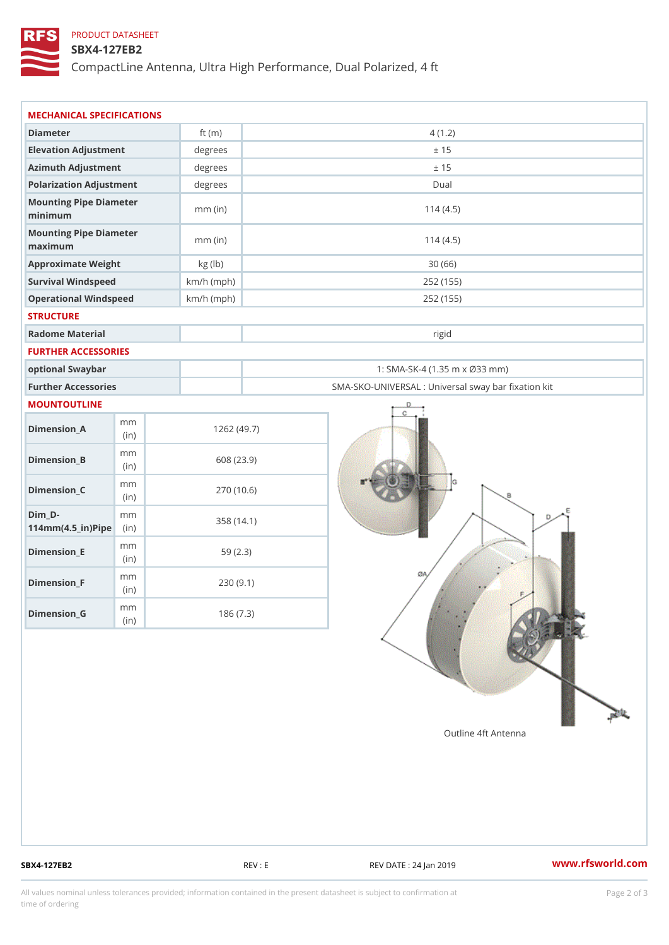## PRODUCT DATASHEET

### SBX4-127EB2

CompactLine Antenna, Ultra High Performance, Dual Polarized, 4 ft

| MECHANICAL SPECIFICATIONS                                  |       |              |                                                   |  |  |
|------------------------------------------------------------|-------|--------------|---------------------------------------------------|--|--|
| Diameter                                                   |       | ft $(m)$     | 4(1.2)                                            |  |  |
| Elevation Adjustment                                       |       | degrees      | ± 15                                              |  |  |
| Azimuth Adjustment                                         |       | degrees      | ± 15                                              |  |  |
| Polarization Adjustment                                    |       | degrees      | Dual                                              |  |  |
| Mounting Pipe Diameter<br>minimum                          |       | $mm$ (in)    | 114(4.5)                                          |  |  |
| Mounting Pipe Diameter<br>maximum                          |       | $mm$ (in)    | 114(4.5)                                          |  |  |
| Approximate Weight                                         |       | kg (lb)      | 30(66)                                            |  |  |
| Survival Windspeed                                         |       | $km/h$ (mph) | 252 (155)                                         |  |  |
| Operational Windspeed                                      |       | $km/h$ (mph) | 252 (155)                                         |  |  |
| <b>STRUCTURE</b>                                           |       |              |                                                   |  |  |
| Radome Material                                            |       |              | rigid                                             |  |  |
| FURTHER ACCESSORIES                                        |       |              |                                                   |  |  |
| optional Swaybar                                           |       |              | 1: SMA-SK-4 (1.35 m x Ø33 mm)                     |  |  |
| Further Accessories                                        |       |              | SMA-SKO-UNIVERSAL : Universal sway bar fixation l |  |  |
| MOUNTOUTLINE                                               |       |              |                                                   |  |  |
| m m<br>$Dimension_A$                                       | (in)  |              | 1262(49.7)                                        |  |  |
| m m<br>$Dimension_B$                                       | (i n) |              | 608 (23.9)                                        |  |  |
| m m<br>$Dimension_C$                                       | (i n) |              | 270 (10.6)                                        |  |  |
| $Dim_D -$<br>m m<br>$114$ m m $(4.5$ _ ir $)$ $R$ ii p $e$ |       |              | 358 (14.1)                                        |  |  |
| m m<br>$Dimension$ = E                                     | (in)  |              | 59(2.3)                                           |  |  |
| m m<br>$Dimension_F$                                       | (in)  |              | 230(9.1)                                          |  |  |
| m m<br>$Diminension_G$                                     | (in)  |              | 186(7.3)                                          |  |  |

SBX4-127EB2 REV : E REV DATE : 24 Jan 2019 WWW.rfsworld.com